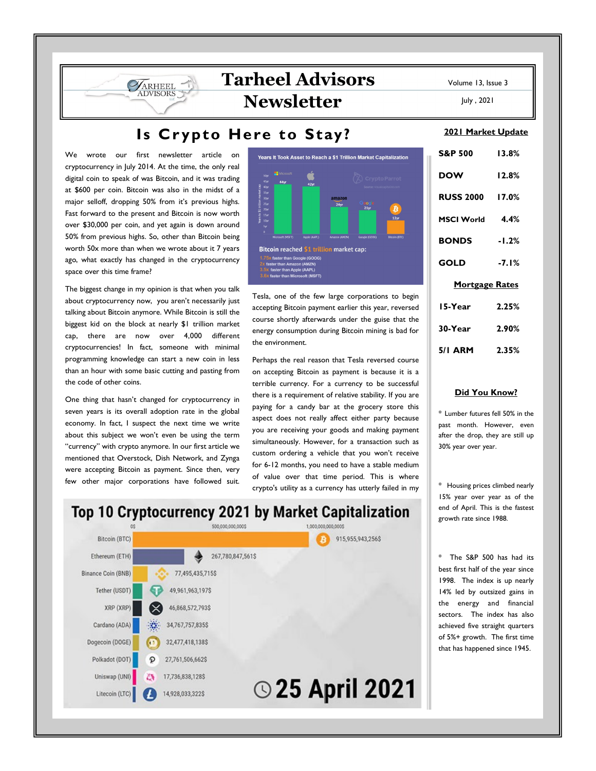## **Tarheel Advisors Newsletter**

## Is Crypto Here to Stay?

We wrote our first newsletter article on cryptocurrency in July 2014. At the time, the only real digital coin to speak of was Bitcoin, and it was trading at \$600 per coin. Bitcoin was also in the midst of a major selloff, dropping 50% from it's previous highs. Fast forward to the present and Bitcoin is now worth over \$30,000 per coin, and yet again is down around 50% from previous highs. So, other than Bitcoin being worth 50x more than when we wrote about it 7 years ago, what exactly has changed in the cryptocurrency space over this time frame?

**JARHEEL** 

The biggest change in my opinion is that when you talk about cryptocurrency now, you aren't necessarily just talking about Bitcoin anymore. While Bitcoin is still the biggest kid on the block at nearly \$1 trillion market cap, there are now over 4,000 different cryptocurrencies! In fact, someone with minimal programming knowledge can start a new coin in less than an hour with some basic cutting and pasting from the code of other coins.

One thing that hasn't changed for cryptocurrency in seven years is its overall adoption rate in the global economy. In fact, I suspect the next time we write about this subject we won't even be using the term "currency" with crypto anymore. In our first article we mentioned that Overstock, Dish Network, and Zynga were accepting Bitcoin as payment. Since then, very few other major corporations have followed suit.



Tesla, one of the few large corporations to begin accepting Bitcoin payment earlier this year, reversed course shortly afterwards under the guise that the energy consumption during Bitcoin mining is bad for the environment.

Perhaps the real reason that Tesla reversed course on accepting Bitcoin as payment is because it is a terrible currency. For a currency to be successful there is a requirement of relative stability. If you are paying for a candy bar at the grocery store this aspect does not really affect either party because you are receiving your goods and making payment simultaneously. However, for a transaction such as custom ordering a vehicle that you won't receive for 6-12 months, you need to have a stable medium of value over that time period. This is where crypto's utility as a currency has utterly failed in my

# S&P 500 13.8% DOW 12.8% RUSS 2000 17.0% MSCI World 4.4% BONDS -1.2% GOLD -7.1% Mortgage Rates

| 15-Year | 2.25% |
|---------|-------|
| 30-Year | 2.90% |
| 5/1 ARM | 2.35% |

#### Did You Know?

\* Lumber futures fell 50% in the past month. However, even after the drop, they are still up 30% year over year.

\* Housing prices climbed nearly 15% year over year as of the end of April. This is the fastest growth rate since 1988.

\* The S&P 500 has had its best first half of the year since 1998. The index is up nearly 14% led by outsized gains in the energy and financial sectors. The index has also achieved five straight quarters of 5%+ growth. The first time that has happened since 1945.

## Top 10 Cryptocurrency 2021 by Market Capitalization



Volume 13, Issue 3

2021 Market Update

July , 2021